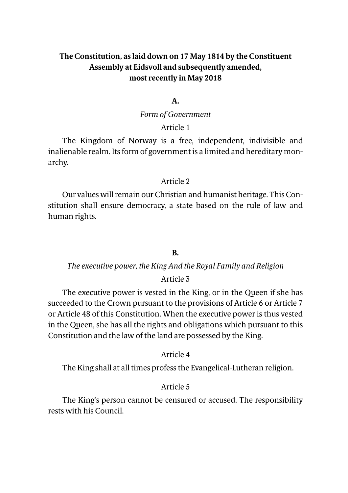# **The Constitution, as laid down on 17 May 1814 by the Constituent Assembly at Eidsvoll and subsequently amended, most recently in May 2018**

#### **A.**

# *Form of Government*

# Article 1

The Kingdom of Norway is a free, independent, indivisible and inalienable realm. Its form of government is a limited and hereditary monarchy.

## Article 2

Our values will remain our Christian and humanist heritage. This Constitution shall ensure democracy, a state based on the rule of law and human rights.

## **B.**

# *The executive power, the King And the Royal Family and Religion* Article 3

The executive power is vested in the King, or in the Queen if she has succeeded to the Crown pursuant to the provisions of Article 6 or Article 7 or Article 48 of this Constitution. When the executive power is thus vested in the Queen, she has all the rights and obligations which pursuant to this Constitution and the law of the land are possessed by the King.

### Article 4

The King shall at all times profess the Evangelical-Lutheran religion.

## Article 5

The King's person cannot be censured or accused. The responsibility rests with his Council.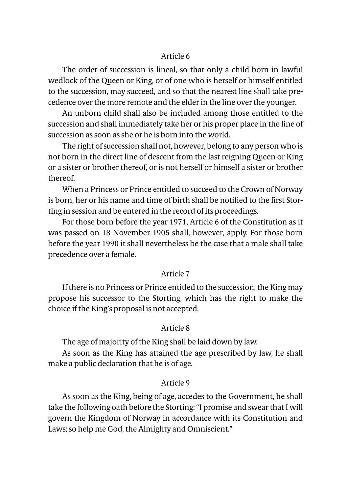The order of succession is lineal, so that only a child born in lawful wedlock of the Queen or King, or of one who is herself or himself entitled to the succession, may succeed, and so that the nearest line shall take precedence over the more remote and the elder in the line over the younger.

An unborn child shall also be included among those entitled to the succession and shall immediately take her or his proper place in the line of succession as soon as she or he is born into the world.

The right of succession shall not, however, belong to any person who is not born in the direct line of descent from the last reigning Queen or King or a sister or brother thereof, or is not herself or himself a sister or brother thereof.

When a Princess or Prince entitled to succeed to the Crown of Norway is born, her or his name and time of birth shall be notified to the first Storting in session and be entered in the record of its proceedings.

For those born before the year 1971, Article 6 of the Constitution as it was passed on 18 November 1905 shall, however, apply. For those born before the year 1990 it shall nevertheless be the case that a male shall take precedence over a female.

## Article 7

If there is no Princess or Prince entitled to the succession, the King may propose his successor to the Storting, which has the right to make the choice if the King's proposal is not accepted.

## Article 8

The age of majority of the King shall be laid down by law.

As soon as the King has attained the age prescribed by law, he shall make a public declaration that he is of age.

## Article 9

As soon as the King, being of age, accedes to the Government, he shall take the following oath before the Storting: "I promise and swear that I will govern the Kingdom of Norway in accordance with its Constitution and Laws; so help me God, the Almighty and Omniscient."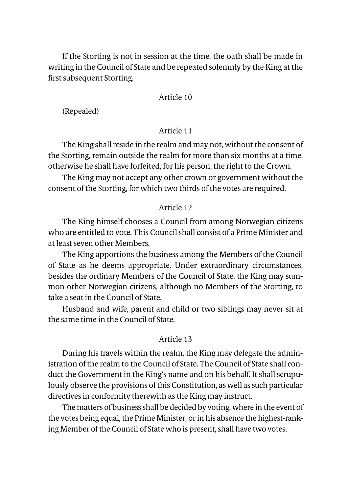If the Storting is not in session at the time, the oath shall be made in writing in the Council of State and be repeated solemnly by the King at the first subsequent Storting.

# Article 10

(Repealed)

### Article 11

The King shall reside in the realm and may not, without the consent of the Storting, remain outside the realm for more than six months at a time, otherwise he shall have forfeited, for his person, the right to the Crown.

The King may not accept any other crown or government without the consent of the Storting, for which two thirds of the votes are required.

#### Article 12

The King himself chooses a Council from among Norwegian citizens who are entitled to vote. This Council shall consist of a Prime Minister and at least seven other Members.

The King apportions the business among the Members of the Council of State as he deems appropriate. Under extraordinary circumstances, besides the ordinary Members of the Council of State, the King may summon other Norwegian citizens, although no Members of the Storting, to take a seat in the Council of State.

Husband and wife, parent and child or two siblings may never sit at the same time in the Council of State.

### Article 13

During his travels within the realm, the King may delegate the administration of the realm to the Council of State. The Council of State shall conduct the Government in the King's name and on his behalf. It shall scrupulously observe the provisions of this Constitution, as well as such particular directives in conformity therewith as the King may instruct.

The matters of business shall be decided by voting, where in the event of the votes being equal, the Prime Minister, or in his absence the highest-ranking Member of the Council of State who is present, shall have two votes.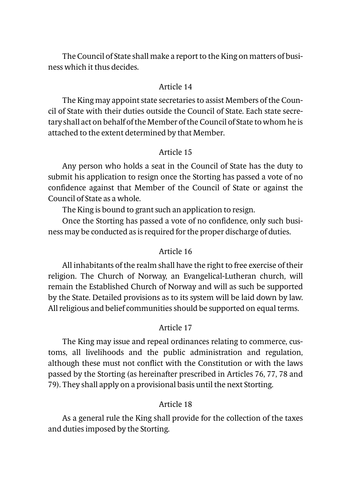The Council of State shall make a report to the King on matters of business which it thus decides.

## Article 14

The King may appoint state secretaries to assist Members of the Council of State with their duties outside the Council of State. Each state secretary shall act on behalf of the Member of the Council of State to whom he is attached to the extent determined by that Member.

# Article 15

Any person who holds a seat in the Council of State has the duty to submit his application to resign once the Storting has passed a vote of no confidence against that Member of the Council of State or against the Council of State as a whole.

The King is bound to grant such an application to resign.

Once the Storting has passed a vote of no confidence, only such business may be conducted as is required for the proper discharge of duties.

# Article 16

All inhabitants of the realm shall have the right to free exercise of their religion. The Church of Norway, an Evangelical-Lutheran church, will remain the Established Church of Norway and will as such be supported by the State. Detailed provisions as to its system will be laid down by law. All religious and belief communities should be supported on equal terms.

## Article 17

The King may issue and repeal ordinances relating to commerce, customs, all livelihoods and the public administration and regulation, although these must not conflict with the Constitution or with the laws passed by the Storting (as hereinafter prescribed in Articles 76, 77, 78 and 79). They shall apply on a provisional basis until the next Storting.

# Article 18

As a general rule the King shall provide for the collection of the taxes and duties imposed by the Storting.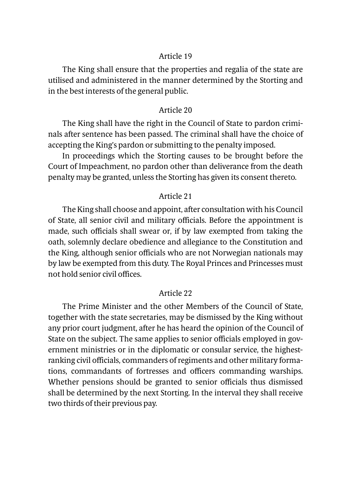The King shall ensure that the properties and regalia of the state are utilised and administered in the manner determined by the Storting and in the best interests of the general public.

### Article 20

The King shall have the right in the Council of State to pardon criminals after sentence has been passed. The criminal shall have the choice of accepting the King's pardon or submitting to the penalty imposed.

In proceedings which the Storting causes to be brought before the Court of Impeachment, no pardon other than deliverance from the death penalty may be granted, unless the Storting has given its consent thereto.

# Article 21

The King shall choose and appoint, after consultation with his Council of State, all senior civil and military officials. Before the appointment is made, such officials shall swear or, if by law exempted from taking the oath, solemnly declare obedience and allegiance to the Constitution and the King, although senior officials who are not Norwegian nationals may by law be exempted from this duty. The Royal Princes and Princesses must not hold senior civil offices.

#### Article 22

The Prime Minister and the other Members of the Council of State, together with the state secretaries, may be dismissed by the King without any prior court judgment, after he has heard the opinion of the Council of State on the subject. The same applies to senior officials employed in government ministries or in the diplomatic or consular service, the highestranking civil officials, commanders of regiments and other military formations, commandants of fortresses and officers commanding warships. Whether pensions should be granted to senior officials thus dismissed shall be determined by the next Storting. In the interval they shall receive two thirds of their previous pay.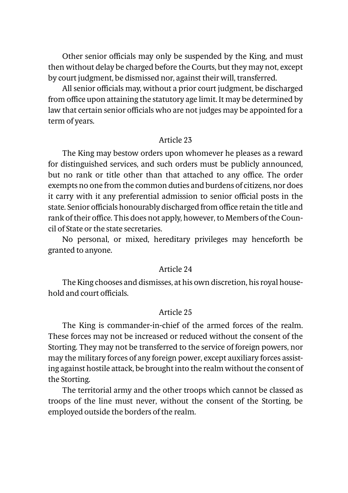Other senior officials may only be suspended by the King, and must then without delay be charged before the Courts, but they may not, except by court judgment, be dismissed nor, against their will, transferred.

All senior officials may, without a prior court judgment, be discharged from office upon attaining the statutory age limit. It may be determined by law that certain senior officials who are not judges may be appointed for a term of years.

## Article 23

The King may bestow orders upon whomever he pleases as a reward for distinguished services, and such orders must be publicly announced, but no rank or title other than that attached to any office. The order exempts no one from the common duties and burdens of citizens, nor does it carry with it any preferential admission to senior official posts in the state. Senior officials honourably discharged from office retain the title and rank of their office. This does not apply, however, to Members of the Council of State or the state secretaries.

No personal, or mixed, hereditary privileges may henceforth be granted to anyone.

### Article 24

The King chooses and dismisses, at his own discretion, his royal household and court officials.

## Article 25

The King is commander-in-chief of the armed forces of the realm. These forces may not be increased or reduced without the consent of the Storting. They may not be transferred to the service of foreign powers, nor may the military forces of any foreign power, except auxiliary forces assisting against hostile attack, be brought into the realm without the consent of the Storting.

The territorial army and the other troops which cannot be classed as troops of the line must never, without the consent of the Storting, be employed outside the borders of the realm.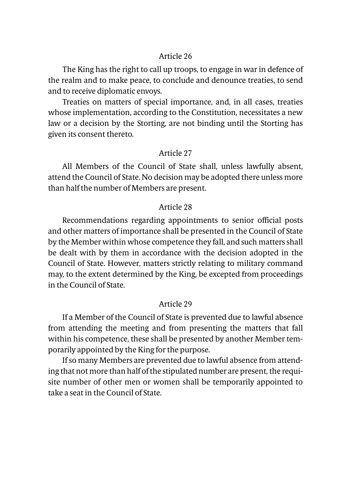The King has the right to call up troops, to engage in war in defence of the realm and to make peace, to conclude and denounce treaties, to send and to receive diplomatic envoys.

Treaties on matters of special importance, and, in all cases, treaties whose implementation, according to the Constitution, necessitates a new law or a decision by the Storting, are not binding until the Storting has given its consent thereto.

# Article 27

All Members of the Council of State shall, unless lawfully absent, attend the Council of State. No decision may be adopted there unless more than half the number of Members are present.

### Article 28

Recommendations regarding appointments to senior official posts and other matters of importance shall be presented in the Council of State by the Member within whose competence they fall, and such matters shall be dealt with by them in accordance with the decision adopted in the Council of State. However, matters strictly relating to military command may, to the extent determined by the King, be excepted from proceedings in the Council of State.

## Article 29

If a Member of the Council of State is prevented due to lawful absence from attending the meeting and from presenting the matters that fall within his competence, these shall be presented by another Member temporarily appointed by the King for the purpose.

If so many Members are prevented due to lawful absence from attending that not more than half of the stipulated number are present, the requisite number of other men or women shall be temporarily appointed to take a seat in the Council of State.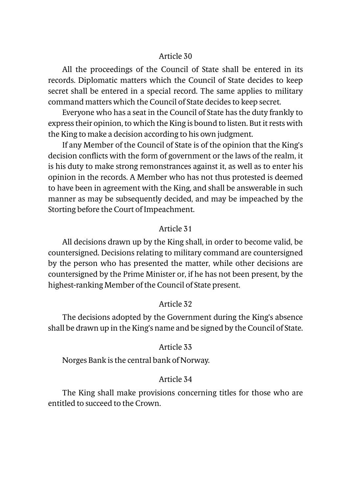All the proceedings of the Council of State shall be entered in its records. Diplomatic matters which the Council of State decides to keep secret shall be entered in a special record. The same applies to military command matters which the Council of State decides to keep secret.

Everyone who has a seat in the Council of State has the duty frankly to express their opinion, to which the King is bound to listen. But it rests with the King to make a decision according to his own judgment.

If any Member of the Council of State is of the opinion that the King's decision conflicts with the form of government or the laws of the realm, it is his duty to make strong remonstrances against it, as well as to enter his opinion in the records. A Member who has not thus protested is deemed to have been in agreement with the King, and shall be answerable in such manner as may be subsequently decided, and may be impeached by the Storting before the Court of Impeachment.

### Article 31

All decisions drawn up by the King shall, in order to become valid, be countersigned. Decisions relating to military command are countersigned by the person who has presented the matter, while other decisions are countersigned by the Prime Minister or, if he has not been present, by the highest-ranking Member of the Council of State present.

### Article 32

The decisions adopted by the Government during the King's absence shall be drawn up in the King's name and be signed by the Council of State.

#### Article 33

Norges Bank is the central bank of Norway.

## Article 34

The King shall make provisions concerning titles for those who are entitled to succeed to the Crown.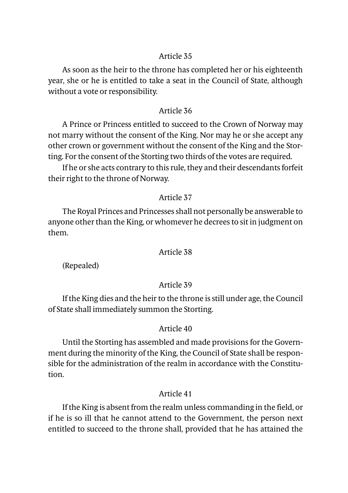As soon as the heir to the throne has completed her or his eighteenth year, she or he is entitled to take a seat in the Council of State, although without a vote or responsibility.

### Article 36

A Prince or Princess entitled to succeed to the Crown of Norway may not marry without the consent of the King. Nor may he or she accept any other crown or government without the consent of the King and the Storting. For the consent of the Storting two thirds of the votes are required.

If he or she acts contrary to this rule, they and their descendants forfeit their right to the throne of Norway.

## Article 37

The Royal Princes and Princesses shall not personally be answerable to anyone other than the King, or whomever he decrees to sit in judgment on them.

## Article 38

(Repealed)

#### Article 39

If the King dies and the heir to the throne is still under age, the Council of State shall immediately summon the Storting.

### Article 40

Until the Storting has assembled and made provisions for the Government during the minority of the King, the Council of State shall be responsible for the administration of the realm in accordance with the Constitution.

## Article 41

If the King is absent from the realm unless commanding in the field, or if he is so ill that he cannot attend to the Government, the person next entitled to succeed to the throne shall, provided that he has attained the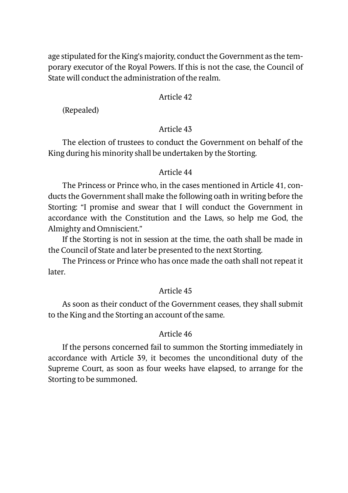age stipulated for the King's majority, conduct the Government as the temporary executor of the Royal Powers. If this is not the case, the Council of State will conduct the administration of the realm.

### Article 42

(Repealed)

## Article 43

The election of trustees to conduct the Government on behalf of the King during his minority shall be undertaken by the Storting.

## Article 44

The Princess or Prince who, in the cases mentioned in Article 41, conducts the Government shall make the following oath in writing before the Storting: "I promise and swear that I will conduct the Government in accordance with the Constitution and the Laws, so help me God, the Almighty and Omniscient."

If the Storting is not in session at the time, the oath shall be made in the Council of State and later be presented to the next Storting.

The Princess or Prince who has once made the oath shall not repeat it later.

## Article 45

As soon as their conduct of the Government ceases, they shall submit to the King and the Storting an account of the same.

# Article 46

If the persons concerned fail to summon the Storting immediately in accordance with Article 39, it becomes the unconditional duty of the Supreme Court, as soon as four weeks have elapsed, to arrange for the Storting to be summoned.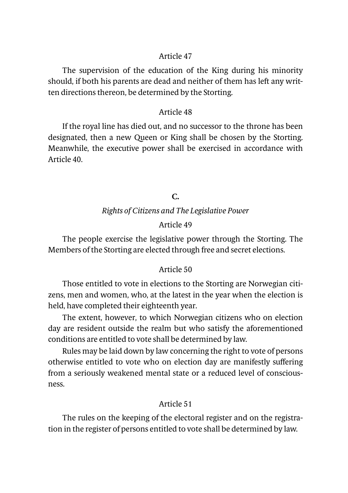The supervision of the education of the King during his minority should, if both his parents are dead and neither of them has left any written directions thereon, be determined by the Storting.

# Article 48

If the royal line has died out, and no successor to the throne has been designated, then a new Queen or King shall be chosen by the Storting. Meanwhile, the executive power shall be exercised in accordance with Article 40.

# **C.**

## *Rights of Citizens and The Legislative Power*

## Article 49

The people exercise the legislative power through the Storting. The Members of the Storting are elected through free and secret elections.

### Article 50

Those entitled to vote in elections to the Storting are Norwegian citizens, men and women, who, at the latest in the year when the election is held, have completed their eighteenth year.

The extent, however, to which Norwegian citizens who on election day are resident outside the realm but who satisfy the aforementioned conditions are entitled to vote shall be determined by law.

Rules may be laid down by law concerning the right to vote of persons otherwise entitled to vote who on election day are manifestly suffering from a seriously weakened mental state or a reduced level of consciousness.

## Article 51

The rules on the keeping of the electoral register and on the registration in the register of persons entitled to vote shall be determined by law.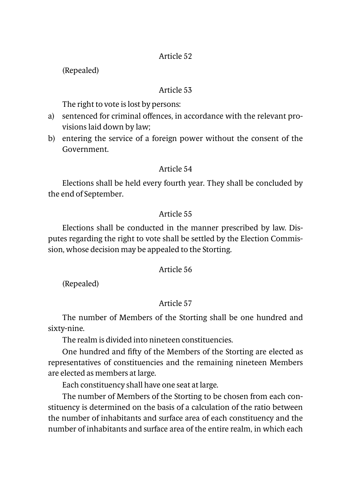(Repealed)

# Article 53

The right to vote is lost by persons:

- a) sentenced for criminal offences, in accordance with the relevant provisions laid down by law;
- b) entering the service of a foreign power without the consent of the Government.

# Article 54

Elections shall be held every fourth year. They shall be concluded by the end of September.

# Article 55

Elections shall be conducted in the manner prescribed by law. Disputes regarding the right to vote shall be settled by the Election Commission, whose decision may be appealed to the Storting.

## Article 56

(Repealed)

# Article 57

The number of Members of the Storting shall be one hundred and sixty-nine.

The realm is divided into nineteen constituencies.

One hundred and fifty of the Members of the Storting are elected as representatives of constituencies and the remaining nineteen Members are elected as members at large.

Each constituency shall have one seat at large.

The number of Members of the Storting to be chosen from each constituency is determined on the basis of a calculation of the ratio between the number of inhabitants and surface area of each constituency and the number of inhabitants and surface area of the entire realm, in which each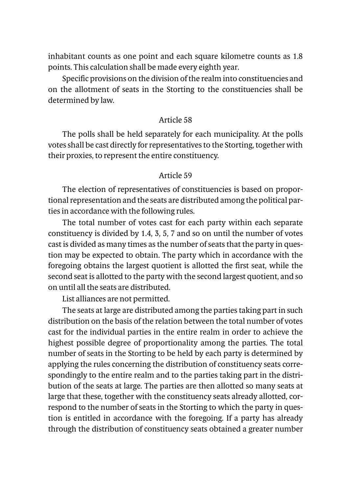inhabitant counts as one point and each square kilometre counts as 1.8 points. This calculation shall be made every eighth year.

Specific provisions on the division of the realm into constituencies and on the allotment of seats in the Storting to the constituencies shall be determined by law.

## Article 58

The polls shall be held separately for each municipality. At the polls votes shall be cast directly for representatives to the Storting, together with their proxies, to represent the entire constituency.

#### Article 59

The election of representatives of constituencies is based on proportional representation and the seats are distributed among the political parties in accordance with the following rules.

The total number of votes cast for each party within each separate constituency is divided by 1.4, 3, 5, 7 and so on until the number of votes cast is divided as many times as the number of seats that the party in question may be expected to obtain. The party which in accordance with the foregoing obtains the largest quotient is allotted the first seat, while the second seat is allotted to the party with the second largest quotient, and so on until all the seats are distributed.

List alliances are not permitted.

The seats at large are distributed among the parties taking part in such distribution on the basis of the relation between the total number of votes cast for the individual parties in the entire realm in order to achieve the highest possible degree of proportionality among the parties. The total number of seats in the Storting to be held by each party is determined by applying the rules concerning the distribution of constituency seats correspondingly to the entire realm and to the parties taking part in the distribution of the seats at large. The parties are then allotted so many seats at large that these, together with the constituency seats already allotted, correspond to the number of seats in the Storting to which the party in question is entitled in accordance with the foregoing. If a party has already through the distribution of constituency seats obtained a greater number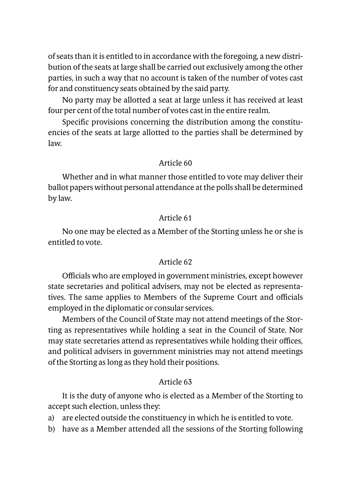of seats than it is entitled to in accordance with the foregoing, a new distribution of the seats at large shall be carried out exclusively among the other parties, in such a way that no account is taken of the number of votes cast for and constituency seats obtained by the said party.

No party may be allotted a seat at large unless it has received at least four per cent of the total number of votes cast in the entire realm.

Specific provisions concerning the distribution among the constituencies of the seats at large allotted to the parties shall be determined by law.

### Article 60

Whether and in what manner those entitled to vote may deliver their ballot papers without personal attendance at the polls shall be determined by law.

### Article 61

No one may be elected as a Member of the Storting unless he or she is entitled to vote.

## Article 62

Officials who are employed in government ministries, except however state secretaries and political advisers, may not be elected as representatives. The same applies to Members of the Supreme Court and officials employed in the diplomatic or consular services.

Members of the Council of State may not attend meetings of the Storting as representatives while holding a seat in the Council of State. Nor may state secretaries attend as representatives while holding their offices, and political advisers in government ministries may not attend meetings of the Storting as long as they hold their positions.

## Article 63

It is the duty of anyone who is elected as a Member of the Storting to accept such election, unless they:

- a) are elected outside the constituency in which he is entitled to vote.
- b) have as a Member attended all the sessions of the Storting following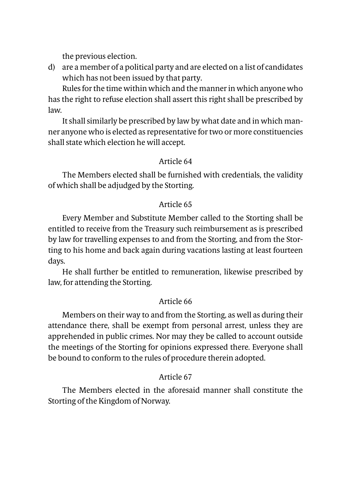the previous election.

d) are a member of a political party and are elected on a list of candidates which has not been issued by that party.

Rules for the time within which and the manner in which anyone who has the right to refuse election shall assert this right shall be prescribed by law.

It shall similarly be prescribed by law by what date and in which manner anyone who is elected as representative for two or more constituencies shall state which election he will accept.

# Article 64

The Members elected shall be furnished with credentials, the validity of which shall be adjudged by the Storting.

# Article 65

Every Member and Substitute Member called to the Storting shall be entitled to receive from the Treasury such reimbursement as is prescribed by law for travelling expenses to and from the Storting, and from the Storting to his home and back again during vacations lasting at least fourteen days.

He shall further be entitled to remuneration, likewise prescribed by law, for attending the Storting.

# Article 66

Members on their way to and from the Storting, as well as during their attendance there, shall be exempt from personal arrest, unless they are apprehended in public crimes. Nor may they be called to account outside the meetings of the Storting for opinions expressed there. Everyone shall be bound to conform to the rules of procedure therein adopted.

# Article 67

The Members elected in the aforesaid manner shall constitute the Storting of the Kingdom of Norway.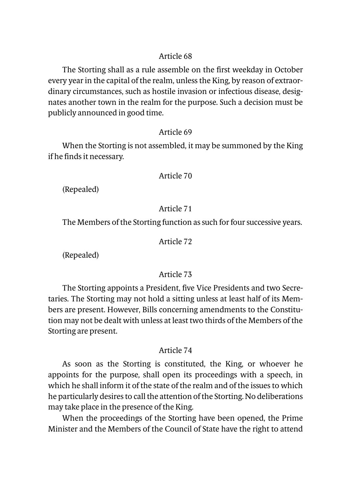The Storting shall as a rule assemble on the first weekday in October every year in the capital of the realm, unless the King, by reason of extraordinary circumstances, such as hostile invasion or infectious disease, designates another town in the realm for the purpose. Such a decision must be publicly announced in good time.

#### Article 69

When the Storting is not assembled, it may be summoned by the King if he finds it necessary.

## Article 70

(Repealed)

## Article 71

The Members of the Storting function as such for four successive years.

## Article 72

(Repealed)

## Article 73

The Storting appoints a President, five Vice Presidents and two Secretaries. The Storting may not hold a sitting unless at least half of its Members are present. However, Bills concerning amendments to the Constitution may not be dealt with unless at least two thirds of the Members of the Storting are present.

### Article 74

As soon as the Storting is constituted, the King, or whoever he appoints for the purpose, shall open its proceedings with a speech, in which he shall inform it of the state of the realm and of the issues to which he particularly desires to call the attention of the Storting. No deliberations may take place in the presence of the King.

When the proceedings of the Storting have been opened, the Prime Minister and the Members of the Council of State have the right to attend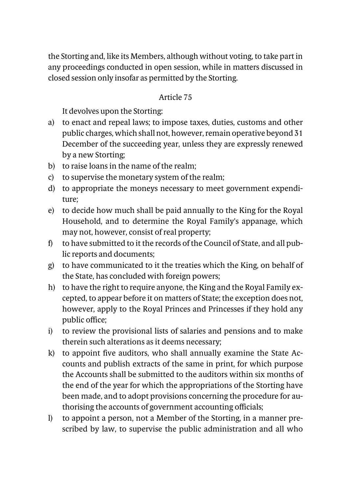the Storting and, like its Members, although without voting, to take part in any proceedings conducted in open session, while in matters discussed in closed session only insofar as permitted by the Storting.

# Article 75

It devolves upon the Storting:

- a) to enact and repeal laws; to impose taxes, duties, customs and other public charges, which shall not, however, remain operative beyond 31 December of the succeeding year, unless they are expressly renewed by a new Storting;
- b) to raise loans in the name of the realm;
- c) to supervise the monetary system of the realm;
- d) to appropriate the moneys necessary to meet government expenditure;
- e) to decide how much shall be paid annually to the King for the Royal Household, and to determine the Royal Family's appanage, which may not, however, consist of real property;
- f) to have submitted to it the records of the Council of State, and all public reports and documents;
- g) to have communicated to it the treaties which the King, on behalf of the State, has concluded with foreign powers;
- h) to have the right to require anyone, the King and the Royal Family excepted, to appear before it on matters of State; the exception does not, however, apply to the Royal Princes and Princesses if they hold any public office;
- i) to review the provisional lists of salaries and pensions and to make therein such alterations as it deems necessary;
- k) to appoint five auditors, who shall annually examine the State Accounts and publish extracts of the same in print, for which purpose the Accounts shall be submitted to the auditors within six months of the end of the year for which the appropriations of the Storting have been made, and to adopt provisions concerning the procedure for authorising the accounts of government accounting officials;
- l) to appoint a person, not a Member of the Storting, in a manner prescribed by law, to supervise the public administration and all who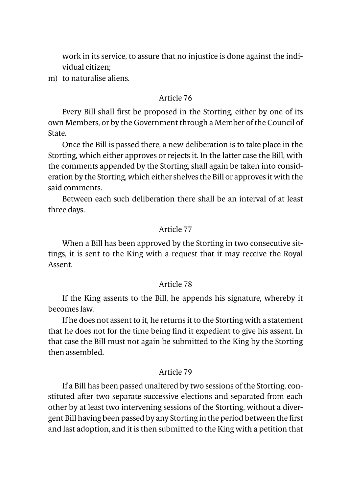work in its service, to assure that no injustice is done against the individual citizen;

m) to naturalise aliens.

# Article 76

Every Bill shall first be proposed in the Storting, either by one of its own Members, or by the Government through a Member of the Council of State.

Once the Bill is passed there, a new deliberation is to take place in the Storting, which either approves or rejects it. In the latter case the Bill, with the comments appended by the Storting, shall again be taken into consideration by the Storting, which either shelves the Bill or approves it with the said comments.

Between each such deliberation there shall be an interval of at least three days.

# Article 77

When a Bill has been approved by the Storting in two consecutive sittings, it is sent to the King with a request that it may receive the Royal Assent.

# Article 78

If the King assents to the Bill, he appends his signature, whereby it becomes law.

If he does not assent to it, he returns it to the Storting with a statement that he does not for the time being find it expedient to give his assent. In that case the Bill must not again be submitted to the King by the Storting then assembled.

### Article 79

If a Bill has been passed unaltered by two sessions of the Storting, constituted after two separate successive elections and separated from each other by at least two intervening sessions of the Storting, without a divergent Bill having been passed by any Storting in the period between the first and last adoption, and it is then submitted to the King with a petition that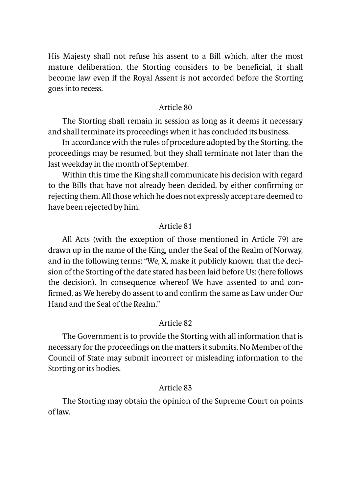His Majesty shall not refuse his assent to a Bill which, after the most mature deliberation, the Storting considers to be beneficial, it shall become law even if the Royal Assent is not accorded before the Storting goes into recess.

### Article 80

The Storting shall remain in session as long as it deems it necessary and shall terminate its proceedings when it has concluded its business.

In accordance with the rules of procedure adopted by the Storting, the proceedings may be resumed, but they shall terminate not later than the last weekday in the month of September.

Within this time the King shall communicate his decision with regard to the Bills that have not already been decided, by either confirming or rejecting them. All those which he does not expressly accept are deemed to have been rejected by him.

## Article 81

All Acts (with the exception of those mentioned in Article 79) are drawn up in the name of the King, under the Seal of the Realm of Norway, and in the following terms: "We, X, make it publicly known: that the decision of the Storting of the date stated has been laid before Us: (here follows the decision). In consequence whereof We have assented to and confirmed, as We hereby do assent to and confirm the same as Law under Our Hand and the Seal of the Realm."

## Article 82

The Government is to provide the Storting with all information that is necessary for the proceedings on the matters it submits. No Member of the Council of State may submit incorrect or misleading information to the Storting or its bodies.

### Article 83

The Storting may obtain the opinion of the Supreme Court on points of law.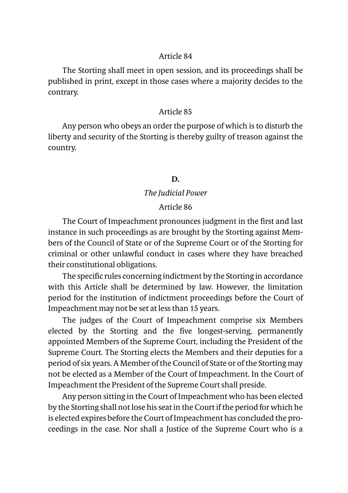The Storting shall meet in open session, and its proceedings shall be published in print, except in those cases where a majority decides to the contrary.

#### Article 85

Any person who obeys an order the purpose of which is to disturb the liberty and security of the Storting is thereby guilty of treason against the country.

## **D.**

## *The Judicial Power*

#### Article 86

The Court of Impeachment pronounces judgment in the first and last instance in such proceedings as are brought by the Storting against Members of the Council of State or of the Supreme Court or of the Storting for criminal or other unlawful conduct in cases where they have breached their constitutional obligations.

The specific rules concerning indictment by the Storting in accordance with this Article shall be determined by law. However, the limitation period for the institution of indictment proceedings before the Court of Impeachment may not be set at less than 15 years.

The judges of the Court of Impeachment comprise six Members elected by the Storting and the five longest-serving, permanently appointed Members of the Supreme Court, including the President of the Supreme Court. The Storting elects the Members and their deputies for a period of six years. A Member of the Council of State or of the Storting may not be elected as a Member of the Court of Impeachment. In the Court of Impeachment the President of the Supreme Court shall preside.

Any person sitting in the Court of Impeachment who has been elected by the Storting shall not lose his seat in the Court if the period for which he is elected expires before the Court of Impeachment has concluded the proceedings in the case. Nor shall a Justice of the Supreme Court who is a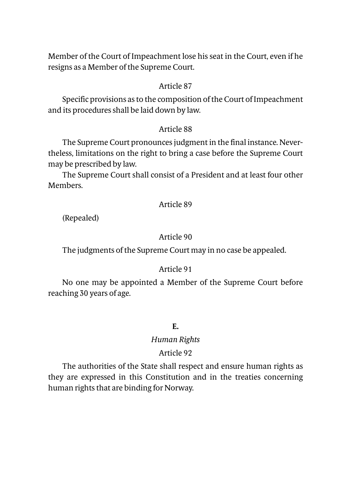Member of the Court of Impeachment lose his seat in the Court, even if he resigns as a Member of the Supreme Court.

# Article 87

Specific provisions as to the composition of the Court of Impeachment and its procedures shall be laid down by law.

## Article 88

The Supreme Court pronounces judgment in the final instance. Nevertheless, limitations on the right to bring a case before the Supreme Court may be prescribed by law.

The Supreme Court shall consist of a President and at least four other Members.

## Article 89

(Repealed)

## Article 90

The judgments of the Supreme Court may in no case be appealed.

## Article 91

No one may be appointed a Member of the Supreme Court before reaching 30 years of age.

## **E.**

### *Human Rights*

## Article 92

The authorities of the State shall respect and ensure human rights as they are expressed in this Constitution and in the treaties concerning human rights that are binding for Norway.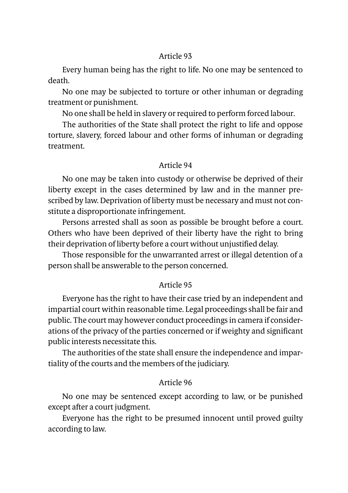Every human being has the right to life. No one may be sentenced to death.

No one may be subjected to torture or other inhuman or degrading treatment or punishment.

No one shall be held in slavery or required to perform forced labour.

The authorities of the State shall protect the right to life and oppose torture, slavery, forced labour and other forms of inhuman or degrading treatment.

## Article 94

No one may be taken into custody or otherwise be deprived of their liberty except in the cases determined by law and in the manner prescribed by law. Deprivation of liberty must be necessary and must not constitute a disproportionate infringement.

Persons arrested shall as soon as possible be brought before a court. Others who have been deprived of their liberty have the right to bring their deprivation of liberty before a court without unjustified delay.

Those responsible for the unwarranted arrest or illegal detention of a person shall be answerable to the person concerned.

### Article 95

Everyone has the right to have their case tried by an independent and impartial court within reasonable time. Legal proceedings shall be fair and public. The court may however conduct proceedings in camera if considerations of the privacy of the parties concerned or if weighty and significant public interests necessitate this.

The authorities of the state shall ensure the independence and impartiality of the courts and the members of the judiciary.

# Article 96

No one may be sentenced except according to law, or be punished except after a court judgment.

Everyone has the right to be presumed innocent until proved guilty according to law.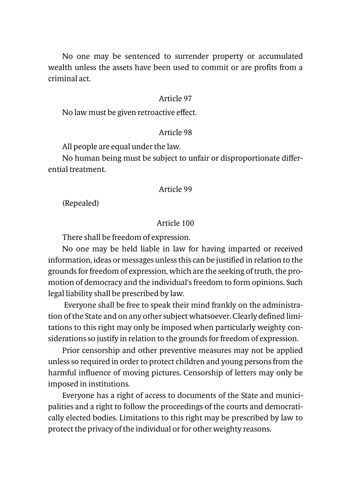No one may be sentenced to surrender property or accumulated wealth unless the assets have been used to commit or are profits from a criminal act.

# Article 97

No law must be given retroactive effect.

#### Article 98

All people are equal under the law.

No human being must be subject to unfair or disproportionate differential treatment.

## Article 99

(Repealed)

# Article 100

There shall be freedom of expression.

No one may be held liable in law for having imparted or received information, ideas or messages unless this can be justified in relation to the grounds for freedom of expression, which are the seeking of truth, the promotion of democracy and the individual's freedom to form opinions. Such legal liability shall be prescribed by law.

 Everyone shall be free to speak their mind frankly on the administration of the State and on any other subject whatsoever. Clearly defined limitations to this right may only be imposed when particularly weighty considerations so justify in relation to the grounds for freedom of expression.

Prior censorship and other preventive measures may not be applied unless so required in order to protect children and young persons from the harmful influence of moving pictures. Censorship of letters may only be imposed in institutions.

Everyone has a right of access to documents of the State and municipalities and a right to follow the proceedings of the courts and democratically elected bodies. Limitations to this right may be prescribed by law to protect the privacy of the individual or for other weighty reasons.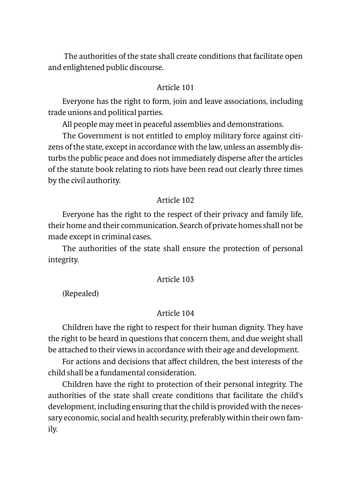The authorities of the state shall create conditions that facilitate open and enlightened public discourse.

# Article 101

Everyone has the right to form, join and leave associations, including trade unions and political parties.

All people may meet in peaceful assemblies and demonstrations.

The Government is not entitled to employ military force against citizens of the state, except in accordance with the law, unless an assembly disturbs the public peace and does not immediately disperse after the articles of the statute book relating to riots have been read out clearly three times by the civil authority.

# Article 102

Everyone has the right to the respect of their privacy and family life, their home and their communication. Search of private homes shall not be made except in criminal cases.

The authorities of the state shall ensure the protection of personal integrity.

# Article 103

(Repealed)

# Article 104

Children have the right to respect for their human dignity. They have the right to be heard in questions that concern them, and due weight shall be attached to their views in accordance with their age and development.

For actions and decisions that affect children, the best interests of the child shall be a fundamental consideration.

Children have the right to protection of their personal integrity. The authorities of the state shall create conditions that facilitate the child's development, including ensuring that the child is provided with the necessary economic, social and health security, preferably within their own family.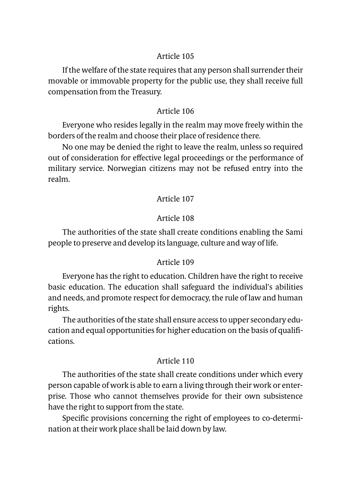If the welfare of the state requires that any person shall surrender their movable or immovable property for the public use, they shall receive full compensation from the Treasury.

## Article 106

Everyone who resides legally in the realm may move freely within the borders of the realm and choose their place of residence there.

No one may be denied the right to leave the realm, unless so required out of consideration for effective legal proceedings or the performance of military service. Norwegian citizens may not be refused entry into the realm.

# Article 107

## Article 108

The authorities of the state shall create conditions enabling the Sami people to preserve and develop its language, culture and way of life.

# Article 109

Everyone has the right to education. Children have the right to receive basic education. The education shall safeguard the individual's abilities and needs, and promote respect for democracy, the rule of law and human rights.

The authorities of the state shall ensure access to upper secondary education and equal opportunities for higher education on the basis of qualifications.

## Article 110

The authorities of the state shall create conditions under which every person capable of work is able to earn a living through their work or enterprise. Those who cannot themselves provide for their own subsistence have the right to support from the state.

Specific provisions concerning the right of employees to co-determination at their work place shall be laid down by law.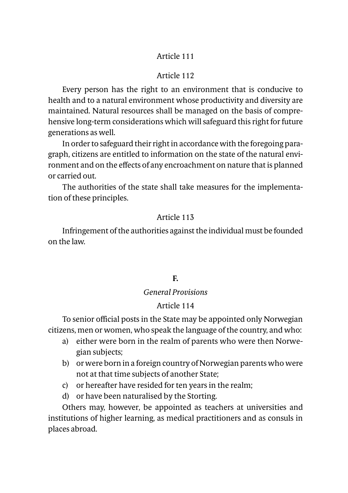# Article 112

Every person has the right to an environment that is conducive to health and to a natural environment whose productivity and diversity are maintained. Natural resources shall be managed on the basis of comprehensive long-term considerations which will safeguard this right for future generations as well.

In order to safeguard their right in accordance with the foregoing paragraph, citizens are entitled to information on the state of the natural environment and on the effects of any encroachment on nature that is planned or carried out.

The authorities of the state shall take measures for the implementation of these principles.

## Article 113

Infringement of the authorities against the individual must be founded on the law.

# **F.**

## *General Provisions*

## Article 114

To senior official posts in the State may be appointed only Norwegian citizens, men or women, who speak the language of the country, and who:

- a) either were born in the realm of parents who were then Norwegian subjects;
- b) or were born in a foreign country of Norwegian parents who were not at that time subjects of another State;
- c) or hereafter have resided for ten years in the realm;
- d) or have been naturalised by the Storting.

Others may, however, be appointed as teachers at universities and institutions of higher learning, as medical practitioners and as consuls in places abroad.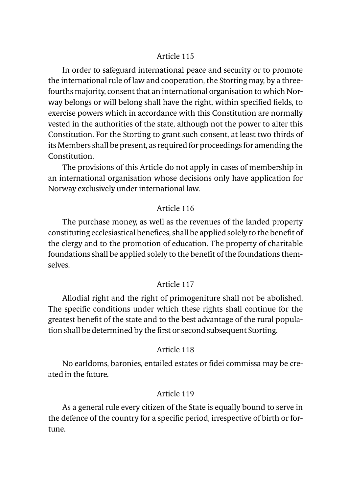In order to safeguard international peace and security or to promote the international rule of law and cooperation, the Storting may, by a threefourths majority, consent that an international organisation to which Norway belongs or will belong shall have the right, within specified fields, to exercise powers which in accordance with this Constitution are normally vested in the authorities of the state, although not the power to alter this Constitution. For the Storting to grant such consent, at least two thirds of its Members shall be present, as required for proceedings for amending the Constitution.

The provisions of this Article do not apply in cases of membership in an international organisation whose decisions only have application for Norway exclusively under international law.

### Article 116

The purchase money, as well as the revenues of the landed property constituting ecclesiastical benefices, shall be applied solely to the benefit of the clergy and to the promotion of education. The property of charitable foundations shall be applied solely to the benefit of the foundations themselves.

# Article 117

Allodial right and the right of primogeniture shall not be abolished. The specific conditions under which these rights shall continue for the greatest benefit of the state and to the best advantage of the rural population shall be determined by the first or second subsequent Storting.

## Article 118

No earldoms, baronies, entailed estates or fidei commissa may be created in the future.

### Article 119

As a general rule every citizen of the State is equally bound to serve in the defence of the country for a specific period, irrespective of birth or fortune.